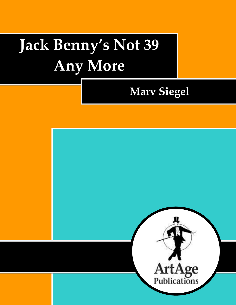# **Jack Benny's Not 39 Any More**

*Jack Benny's Not 39 Any More* 1

# **Marv Siegel**

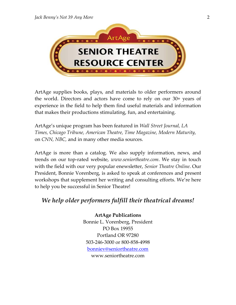

ArtAge supplies books, plays, and materials to older performers around the world. Directors and actors have come to rely on our 30+ years of experience in the field to help them find useful materials and information that makes their productions stimulating, fun, and entertaining.

ArtAge's unique program has been featured in *Wall Street Journal, LA Times, Chicago Tribune, American Theatre, Time Magazine, Modern Maturity,*  on *CNN, NBC,* and in many other media sources.

ArtAge is more than a catalog. We also supply information, news, and trends on our top-rated website, *www.seniortheatre.com*. We stay in touch with the field with our very popular enewsletter, *Senior Theatre Online*. Our President, Bonnie Vorenberg, is asked to speak at conferences and present workshops that supplement her writing and consulting efforts. We're here to help you be successful in Senior Theatre!

# *We help older performers fulfill their theatrical dreams!*

**ArtAge Publications** Bonnie L. Vorenberg, President PO Box 19955 Portland OR 97280 503-246-3000 or 800-858-4998 [bonniev@seniortheatre.com](mailto:bonniev@seniortheatre.com) www.seniortheatre.com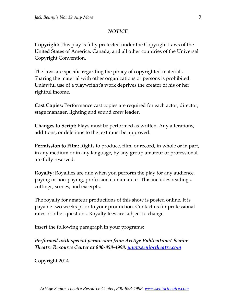#### *NOTICE*

**Copyright:** This play is fully protected under the Copyright Laws of the United States of America, Canada, and all other countries of the Universal Copyright Convention.

The laws are specific regarding the piracy of copyrighted materials. Sharing the material with other organizations or persons is prohibited. Unlawful use of a playwright's work deprives the creator of his or her rightful income.

**Cast Copies:** Performance cast copies are required for each actor, director, stage manager, lighting and sound crew leader.

**Changes to Script:** Plays must be performed as written. Any alterations, additions, or deletions to the text must be approved.

**Permission to Film:** Rights to produce, film, or record, in whole or in part, in any medium or in any language, by any group amateur or professional, are fully reserved.

**Royalty:** Royalties are due when you perform the play for any audience, paying or non-paying, professional or amateur. This includes readings, cuttings, scenes, and excerpts.

The royalty for amateur productions of this show is posted online. It is payable two weeks prior to your production. Contact us for professional rates or other questions. Royalty fees are subject to change.

Insert the following paragraph in your programs:

*Performed with special permission from ArtAge Publications' Senior Theatre Resource Center at 800-858-4998, [www.seniortheatre.com](http://www.seniortheatre.com/)*

Copyright 2014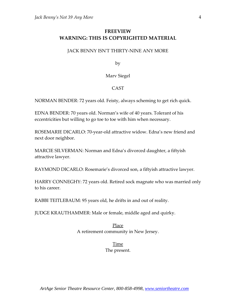# **FREEVIEW WARNING: THIS IS COPYRIGHTED MATERIAL**

#### JACK BENNY ISN'T THIRTY-NINE ANY MORE

by

Marv Siegel

#### CAST

NORMAN BENDER: 72 years old. Feisty, always scheming to get rich quick.

EDNA BENDER: 70 years old. Norman's wife of 40 years. Tolerant of his eccentricities but willing to go toe to toe with him when necessary.

ROSEMARIE DICARLO: 70-year-old attractive widow. Edna's new friend and next door neighbor.

MARCIE SILVERMAN: Norman and Edna's divorced daughter, a fiftyish attractive lawyer.

RAYMOND DICARLO: Rosemarie's divorced son, a fiftyish attractive lawyer.

HARRY CONNEGHY: 72 years old. Retired sock magnate who was married only to his career.

RABBI TEITLEBAUM: 95 years old, he drifts in and out of reality.

JUDGE KRAUTHAMMER: Male or female, middle aged and quirky.

#### Place A retirement community in New Jersey.

# Time

The present.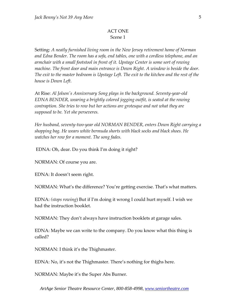#### ACT ONE Scene 1

Setting: *A neatly furnished living room in the New Jersey retirement home of Norman and Edna Bender. The room has a sofa, end tables, one with a cordless telephone, and an armchair with a small footstool in front of it. Upstage Center is some sort of rowing machine. The front door and main entrance is Down Right. A window is beside the door. The exit to the master bedroom is Upstage Left. The exit to the kitchen and the rest of the house is Down Left.* 

At Rise: *Al Jolson's Anniversary Song plays in the background. Seventy-year-old EDNA BENDER, wearing a brightly colored jogging outfit, is seated at the rowing contraption. She tries to row but her actions are grotesque and not what they are supposed to be. Yet she perseveres.* 

*Her husband, seventy-two-year old NORMAN BENDER, enters Down Right carrying a shopping bag. He wears white bermuda shorts with black socks and black shoes. He watches her row for a moment. The song fades.*

EDNA: Oh, dear. Do you think I'm doing it right?

NORMAN: Of course you are.

EDNA: It doesn't seem right.

NORMAN: What's the difference? You're getting exercise. That's what matters.

EDNA: *(stops rowing*) But if I'm doing it wrong I could hurt myself. I wish we had the instruction booklet.

NORMAN: They don't always have instruction booklets at garage sales.

EDNA: Maybe we can write to the company. Do you know what this thing is called?

NORMAN: I think it's the Thighmaster.

EDNA: No, it's not the Thighmaster. There's nothing for thighs here.

NORMAN: Maybe it's the Super Abs Burner.

*ArtAge Senior Theatre Resource Center, 800-858-4998, [www.seniortheatre.com](http://www.seniortheatre.com/)*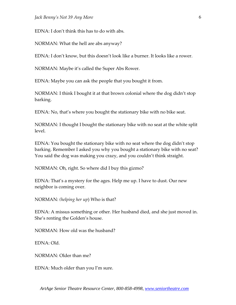EDNA: I don't think this has to do with abs.

NORMAN: What the hell are abs anyway?

EDNA: I don't know, but this doesn't look like a burner. It looks like a rower.

NORMAN: Maybe it's called the Super Abs Rower.

EDNA: Maybe you can ask the people that you bought it from.

NORMAN: I think I bought it at that brown colonial where the dog didn't stop barking.

EDNA: No, that's where you bought the stationary bike with no bike seat.

NORMAN: I thought I bought the stationary bike with no seat at the white split level.

EDNA: You bought the stationary bike with no seat where the dog didn't stop barking. Remember I asked you why you bought a stationary bike with no seat? You said the dog was making you crazy, and you couldn't think straight.

NORMAN: Oh, right. So where did I buy this gizmo?

EDNA: That's a mystery for the ages. Help me up. I have to dust. Our new neighbor is coming over.

NORMAN: *(helping her up*) Who is that?

EDNA: A missus something or other. Her husband died, and she just moved in. She's renting the Golden's house.

NORMAN: How old was the husband?

EDNA: Old.

NORMAN: Older than me?

EDNA: Much older than you I'm sure.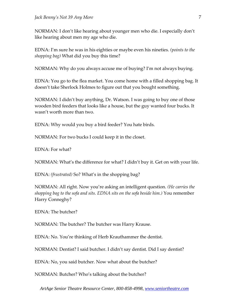NORMAN: I don't like hearing about younger men who die. I especially don't like hearing about men my age who die.

EDNA: I'm sure he was in his eighties or maybe even his nineties. *(points to the shopping bag)* What did you buy this time?

NORMAN: Why do you always accuse me of buying? I'm not always buying.

EDNA: You go to the flea market. You come home with a filled shopping bag. It doesn't take Sherlock Holmes to figure out that you bought something.

NORMAN: I didn't buy anything, Dr. Watson. I was going to buy one of those wooden bird feeders that looks like a house, but the guy wanted four bucks. It wasn't worth more than two.

EDNA: Why would you buy a bird feeder? You hate birds.

NORMAN: For two bucks I could keep it in the closet.

EDNA: For what?

NORMAN: What's the difference for what? I didn't buy it. Get on with your life.

EDNA: *(frustrated)* So? What's in the shopping bag?

NORMAN: All right. Now you're asking an intelligent question. *(He carries the shopping bag to the sofa and sits. EDNA sits on the sofa beside him.)* You remember Harry Conneghy?

EDNA: The butcher?

NORMAN: The butcher? The butcher was Harry Krause.

EDNA: No. You're thinking of Herb Krauthammer the dentist.

NORMAN: Dentist? I said butcher. I didn't say dentist. Did I say dentist?

EDNA: No, you said butcher. Now what about the butcher?

NORMAN: Butcher? Who's talking about the butcher?

*ArtAge Senior Theatre Resource Center, 800-858-4998, [www.seniortheatre.com](http://www.seniortheatre.com/)*